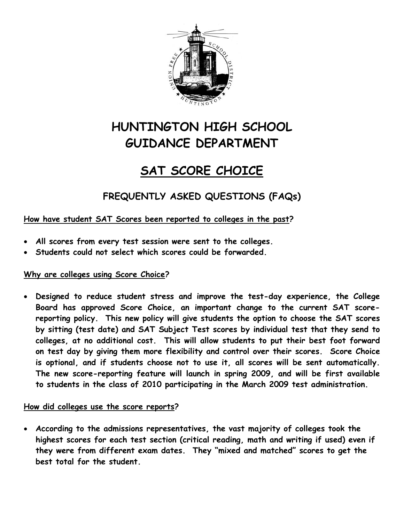

# **HUNTINGTON HIGH SCHOOL GUIDANCE DEPARTMENT**

## **SAT SCORE CHOICE**

**FREQUENTLY ASKED QUESTIONS (FAQs)** 

### **How have student SAT Scores been reported to colleges in the past?**

- **All scores from every test session were sent to the colleges.**
- **Students could not select which scores could be forwarded.**

#### **Why are colleges using Score Choice?**

• **Designed to reduce student stress and improve the test-day experience, the College Board has approved Score Choice, an important change to the current SAT scorereporting policy. This new policy will give students the option to choose the SAT scores by sitting (test date) and SAT Subject Test scores by individual test that they send to colleges, at no additional cost. This will allow students to put their best foot forward on test day by giving them more flexibility and control over their scores. Score Choice is optional, and if students choose not to use it, all scores will be sent automatically. The new score-reporting feature will launch in spring 2009, and will be first available to students in the class of 2010 participating in the March 2009 test administration.** 

#### **How did colleges use the score reports?**

• **According to the admissions representatives, the vast majority of colleges took the highest scores for each test section (critical reading, math and writing if used) even if they were from different exam dates. They "mixed and matched" scores to get the best total for the student.**